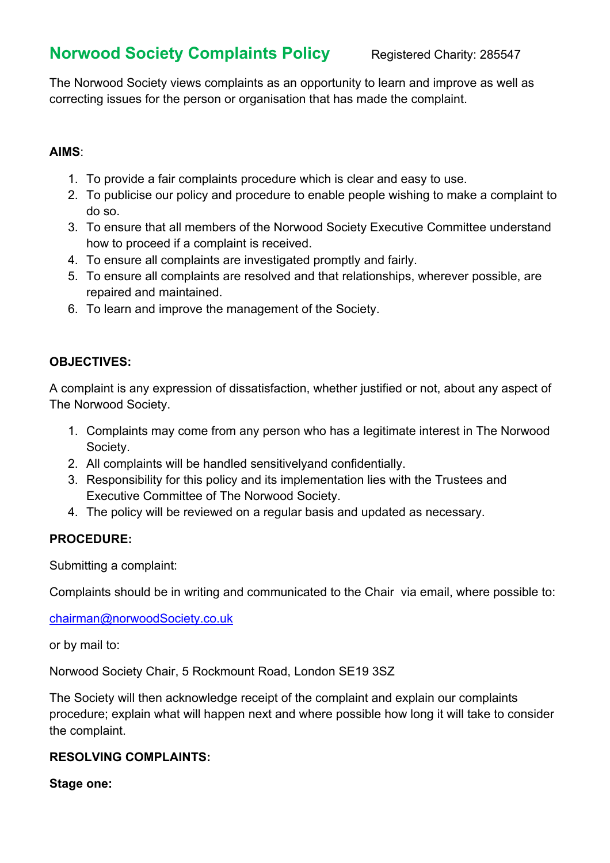# **Norwood Society Complaints Policy Registered Charity: 285547**

The Norwood Society views complaints as an opportunity to learn and improve as well as correcting issues for the person or organisation that has made the complaint.

#### **AIMS**:

- 1. To provide a fair complaints procedure which is clear and easy to use.
- 2. To publicise our policy and procedure to enable people wishing to make a complaint to do so.
- 3. To ensure that all members of the Norwood Society Executive Committee understand how to proceed if a complaint is received.
- 4. To ensure all complaints are investigated promptly and fairly.
- 5. To ensure all complaints are resolved and that relationships, wherever possible, are repaired and maintained.
- 6. To learn and improve the management of the Society.

## **OBJECTIVES:**

A complaint is any expression of dissatisfaction, whether justified or not, about any aspect of The Norwood Society.

- 1. Complaints may come from any person who has a legitimate interest in The Norwood Society.
- 2. All complaints will be handled sensitivelyand confidentially.
- 3. Responsibility for this policy and its implementation lies with the Trustees and Executive Committee of The Norwood Society.
- 4. The policy will be reviewed on a regular basis and updated as necessary.

## **PROCEDURE:**

Submitting a complaint:

Complaints should be in writing and communicated to the Chair via email, where possible to:

chairman@norwoodSociety.co.uk

or by mail to:

Norwood Society Chair, 5 Rockmount Road, London SE19 3SZ

The Society will then acknowledge receipt of the complaint and explain our complaints procedure; explain what will happen next and where possible how long it will take to consider the complaint.

#### **RESOLVING COMPLAINTS:**

**Stage one:**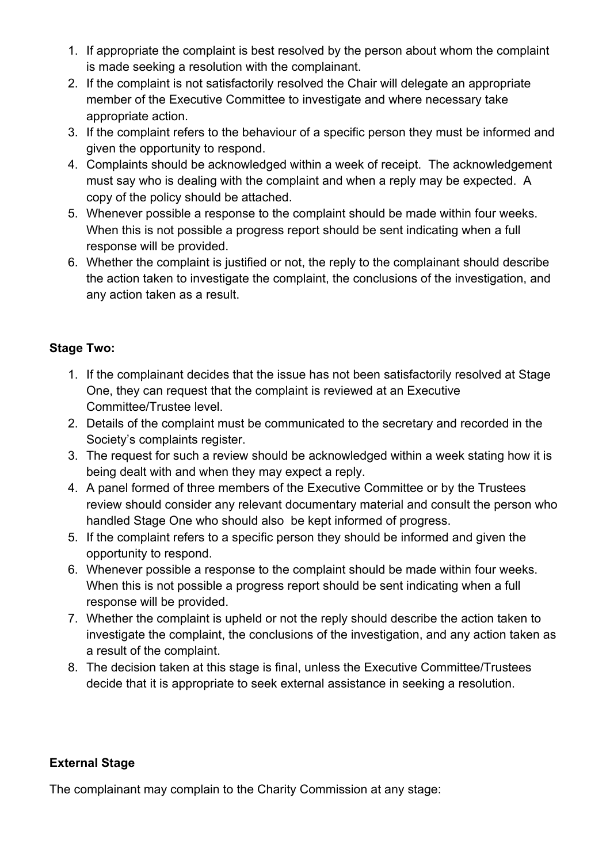- 1. If appropriate the complaint is best resolved by the person about whom the complaint is made seeking a resolution with the complainant.
- 2. If the complaint is not satisfactorily resolved the Chair will delegate an appropriate member of the Executive Committee to investigate and where necessary take appropriate action.
- 3. If the complaint refers to the behaviour of a specific person they must be informed and given the opportunity to respond.
- 4. Complaints should be acknowledged within a week of receipt. The acknowledgement must say who is dealing with the complaint and when a reply may be expected. A copy of the policy should be attached.
- 5. Whenever possible a response to the complaint should be made within four weeks. When this is not possible a progress report should be sent indicating when a full response will be provided.
- 6. Whether the complaint is justified or not, the reply to the complainant should describe the action taken to investigate the complaint, the conclusions of the investigation, and any action taken as a result.

## **Stage Two:**

- 1. If the complainant decides that the issue has not been satisfactorily resolved at Stage One, they can request that the complaint is reviewed at an Executive Committee/Trustee level.
- 2. Details of the complaint must be communicated to the secretary and recorded in the Society's complaints register.
- 3. The request for such a review should be acknowledged within a week stating how it is being dealt with and when they may expect a reply.
- 4. A panel formed of three members of the Executive Committee or by the Trustees review should consider any relevant documentary material and consult the person who handled Stage One who should also be kept informed of progress.
- 5. If the complaint refers to a specific person they should be informed and given the opportunity to respond.
- 6. Whenever possible a response to the complaint should be made within four weeks. When this is not possible a progress report should be sent indicating when a full response will be provided.
- 7. Whether the complaint is upheld or not the reply should describe the action taken to investigate the complaint, the conclusions of the investigation, and any action taken as a result of the complaint.
- 8. The decision taken at this stage is final, unless the Executive Committee/Trustees decide that it is appropriate to seek external assistance in seeking a resolution.

## **External Stage**

The complainant may complain to the Charity Commission at any stage: